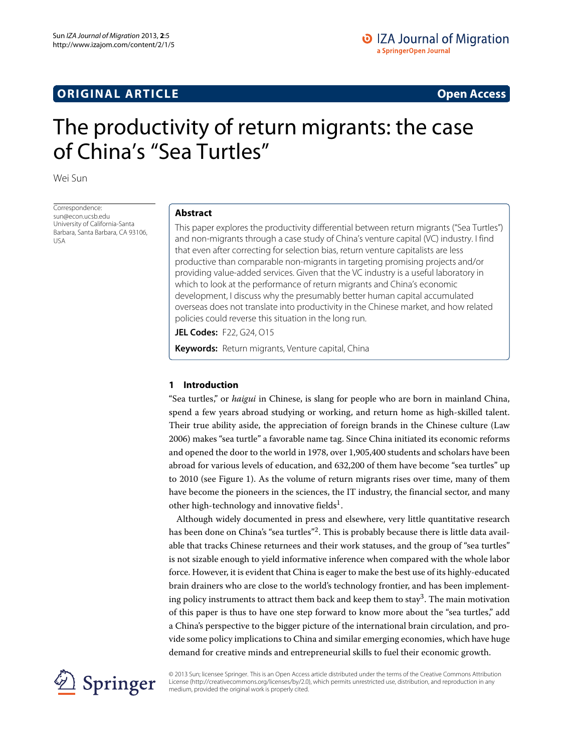# **ORIGINAL ARTICLE Open Access**

# The productivity of return migrants: the case of China's "Sea Turtles"

Wei Sun

Correspondence: sun@econ.ucsb.edu University of California-Santa Barbara, Santa Barbara, CA 93106, USA

# **Abstract**

This paper explores the productivity differential between return migrants ("Sea Turtles") and non-migrants through a case study of China's venture capital (VC) industry. I find that even after correcting for selection bias, return venture capitalists are less productive than comparable non-migrants in targeting promising projects and/or providing value-added services. Given that the VC industry is a useful laboratory in which to look at the performance of return migrants and China's economic development, I discuss why the presumably better human capital accumulated overseas does not translate into productivity in the Chinese market, and how related policies could reverse this situation in the long run.

**JEL Codes:** F22, G24, O15

**Keywords:** Return migrants, Venture capital, China

# **1 Introduction**

"Sea turtles," or *haigui* in Chinese, is slang for people who are born in mainland China, spend a few years abroad studying or working, and return home as high-skilled talent. Their true ability aside, the appreciation of foreign brands in the Chinese culture (Law [2006\)](#page-18-0) makes "sea turtle" a favorable name tag. Since China initiated its economic reforms and opened the door to the world in 1978, over 1,905,400 students and scholars have been abroad for various levels of education, and 632,200 of them have become "sea turtles" up to 2010 (see Figure [1\)](#page-1-0). As the volume of return migrants rises over time, many of them have become the pioneers in the sciences, the IT industry, the financial sector, and many other high-technology and innovative fields<sup>1</sup>.

Although widely documented in press and elsewhere, very little quantitative research has been done on China's "sea turtles"<sup>2</sup>. This is probably because there is little data available that tracks Chinese returnees and their work statuses, and the group of "sea turtles" is not sizable enough to yield informative inference when compared with the whole labor force. However, it is evident that China is eager to make the best use of its highly-educated brain drainers who are close to the world's technology frontier, and has been implementing policy instruments to attract them back and keep them to  $stay^3$ . The main motivation of this paper is thus to have one step forward to know more about the "sea turtles," add a China's perspective to the bigger picture of the international brain circulation, and provide some policy implications to China and similar emerging economies, which have huge demand for creative minds and entrepreneurial skills to fuel their economic growth.



© 2013 Sun; licensee Springer. This is an Open Access article distributed under the terms of the Creative Commons Attribution License (http://creativecommons.org/licenses/by/2.0), which permits unrestricted use, distribution, and reproduction in any medium, provided the original work is properly cited.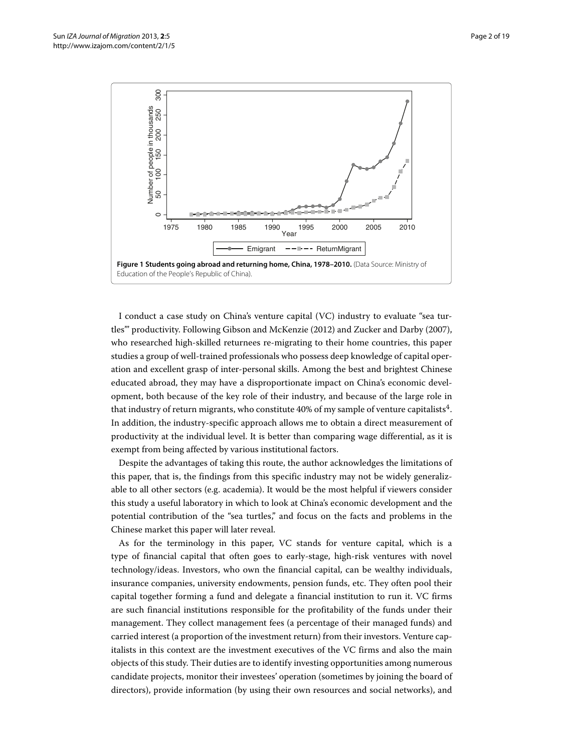

<span id="page-1-0"></span>I conduct a case study on China's venture capital (VC) industry to evaluate "sea turtles"' productivity. Following [Gibson and McKenzie \(2012\)](#page-17-0) and [Zucker and Darby \(2007\)](#page-18-1), who researched high-skilled returnees re-migrating to their home countries, this paper studies a group of well-trained professionals who possess deep knowledge of capital operation and excellent grasp of inter-personal skills. Among the best and brightest Chinese educated abroad, they may have a disproportionate impact on China's economic development, both because of the key role of their industry, and because of the large role in that industry of return migrants, who constitute  $40\%$  of my sample of venture capitalists<sup>4</sup>. In addition, the industry-specific approach allows me to obtain a direct measurement of productivity at the individual level. It is better than comparing wage differential, as it is exempt from being affected by various institutional factors.

Despite the advantages of taking this route, the author acknowledges the limitations of this paper, that is, the findings from this specific industry may not be widely generalizable to all other sectors (e.g. academia). It would be the most helpful if viewers consider this study a useful laboratory in which to look at China's economic development and the potential contribution of the "sea turtles," and focus on the facts and problems in the Chinese market this paper will later reveal.

As for the terminology in this paper, VC stands for venture capital, which is a type of financial capital that often goes to early-stage, high-risk ventures with novel technology/ideas. Investors, who own the financial capital, can be wealthy individuals, insurance companies, university endowments, pension funds, etc. They often pool their capital together forming a fund and delegate a financial institution to run it. VC firms are such financial institutions responsible for the profitability of the funds under their management. They collect management fees (a percentage of their managed funds) and carried interest (a proportion of the investment return) from their investors. Venture capitalists in this context are the investment executives of the VC firms and also the main objects of this study. Their duties are to identify investing opportunities among numerous candidate projects, monitor their investees' operation (sometimes by joining the board of directors), provide information (by using their own resources and social networks), and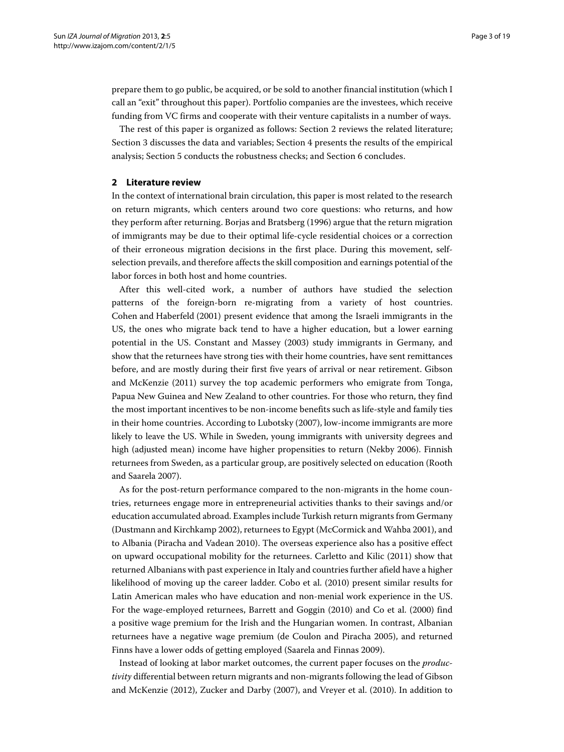prepare them to go public, be acquired, or be sold to another financial institution (which I call an "exit" throughout this paper). Portfolio companies are the investees, which receive funding from VC firms and cooperate with their venture capitalists in a number of ways.

The rest of this paper is organized as follows: Section [2](#page-2-0) reviews the related literature; Section [3](#page-3-0) discusses the data and variables; Section [4](#page-5-0) presents the results of the empirical analysis; Section [5](#page-9-0) conducts the robustness checks; and Section [6](#page-13-0) concludes.

#### <span id="page-2-0"></span>**2 Literature review**

In the context of international brain circulation, this paper is most related to the research on return migrants, which centers around two core questions: who returns, and how they perform after returning. [Borjas and Bratsberg \(1996\)](#page-17-1) argue that the return migration of immigrants may be due to their optimal life-cycle residential choices or a correction of their erroneous migration decisions in the first place. During this movement, selfselection prevails, and therefore affects the skill composition and earnings potential of the labor forces in both host and home countries.

After this well-cited work, a number of authors have studied the selection patterns of the foreign-born re-migrating from a variety of host countries. [Cohen and Haberfeld \(2001\)](#page-17-2) present evidence that among the Israeli immigrants in the US, the ones who migrate back tend to have a higher education, but a lower earning potential in the US. [Constant and Massey \(2003\)](#page-17-3) study immigrants in Germany, and show that the returnees have strong ties with their home countries, have sent remittances before, and are mostly during their first five years of arrival or near retirement. Gibson and McKenzie (2011) survey the top academic performers who emigrate from Tonga, Papua New Guinea and New Zealand to other countries. For those who return, they find the most important incentives to be non-income benefits such as life-style and family ties in their home countries. According to [Lubotsky \(2007\)](#page-18-2), low-income immigrants are more likely to leave the US. While in Sweden, young immigrants with university degrees and high (adjusted mean) income have higher propensities to return (Nekby [2006\)](#page-18-3). Finnish returnees from Sweden, as a particular group, are positively selected on education (Rooth and Saarela [2007\)](#page-18-4).

As for the post-return performance compared to the non-migrants in the home countries, returnees engage more in entrepreneurial activities thanks to their savings and/or education accumulated abroad. Examples include Turkish return migrants from Germany (Dustmann and Kirchkamp [2002\)](#page-17-4), returnees to Egypt (McCormick and Wahba [2001\)](#page-18-5), and to Albania (Piracha and Vadean [2010\)](#page-18-6). The overseas experience also has a positive effect on upward occupational mobility for the returnees. [Carletto and Kilic \(2011\)](#page-17-5) show that returned Albanians with past experience in Italy and countries further afield have a higher likelihood of moving up the career ladder. [Cobo et al. \(2010\)](#page-17-6) present similar results for Latin American males who have education and non-menial work experience in the US. For the wage-employed returnees, [Barrett and Goggin \(2010\)](#page-17-7) and [Co et al. \(2000\)](#page-17-8) find a positive wage premium for the Irish and the Hungarian women. In contrast, Albanian returnees have a negative wage premium (de Coulon and Piracha [2005\)](#page-17-9), and returned Finns have a lower odds of getting employed (Saarela and Finnas [2009\)](#page-18-7).

Instead of looking at labor market outcomes, the current paper focuses on the *productivity* differential between return migrants and non-migrants following the lead of Gibson and McKenzie (2012), [Zucker and Darby \(2007\)](#page-18-1), and [Vreyer et al. \(2010\)](#page-18-8). In addition to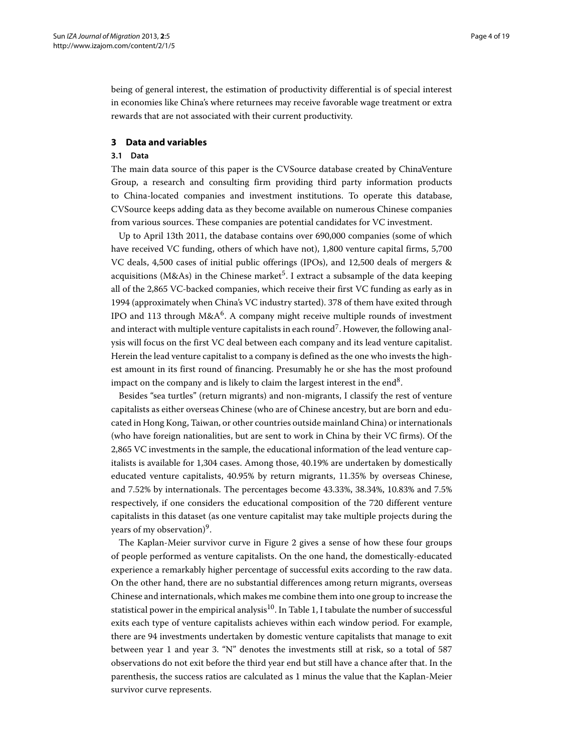being of general interest, the estimation of productivity differential is of special interest in economies like China's where returnees may receive favorable wage treatment or extra rewards that are not associated with their current productivity.

#### <span id="page-3-0"></span>**3 Data and variables**

#### **3.1 Data**

The main data source of this paper is the CVSource database created by ChinaVenture Group, a research and consulting firm providing third party information products to China-located companies and investment institutions. To operate this database, CVSource keeps adding data as they become available on numerous Chinese companies from various sources. These companies are potential candidates for VC investment.

Up to April 13th 2011, the database contains over 690,000 companies (some of which have received VC funding, others of which have not), 1,800 venture capital firms, 5,700 VC deals, 4,500 cases of initial public offerings (IPOs), and 12,500 deals of mergers & acquisitions (M&As) in the Chinese market<sup>5</sup>. I extract a subsample of the data keeping all of the 2,865 VC-backed companies, which receive their first VC funding as early as in 1994 (approximately when China's VC industry started). 378 of them have exited through IPO and 113 through  $M&A^6$ . A company might receive multiple rounds of investment and interact with multiple venture capitalists in each round<sup>7</sup>. However, the following analysis will focus on the first VC deal between each company and its lead venture capitalist. Herein the lead venture capitalist to a company is defined as the one who invests the highest amount in its first round of financing. Presumably he or she has the most profound impact on the company and is likely to claim the largest interest in the end<sup>8</sup>.

Besides "sea turtles" (return migrants) and non-migrants, I classify the rest of venture capitalists as either overseas Chinese (who are of Chinese ancestry, but are born and educated in Hong Kong, Taiwan, or other countries outside mainland China) or internationals (who have foreign nationalities, but are sent to work in China by their VC firms). Of the 2,865 VC investments in the sample, the educational information of the lead venture capitalists is available for 1,304 cases. Among those, 40.19% are undertaken by domestically educated venture capitalists, 40.95% by return migrants, 11.35% by overseas Chinese, and 7.52% by internationals. The percentages become 43.33%, 38.34%, 10.83% and 7.5% respectively, if one considers the educational composition of the 720 different venture capitalists in this dataset (as one venture capitalist may take multiple projects during the years of my observation)<sup>9</sup>.

The Kaplan-Meier survivor curve in Figure [2](#page-4-0) gives a sense of how these four groups of people performed as venture capitalists. On the one hand, the domestically-educated experience a remarkably higher percentage of successful exits according to the raw data. On the other hand, there are no substantial differences among return migrants, overseas Chinese and internationals, which makes me combine them into one group to increase the statistical power in the empirical analysis $10$ . In Table [1,](#page-4-1) I tabulate the number of successful exits each type of venture capitalists achieves within each window period. For example, there are 94 investments undertaken by domestic venture capitalists that manage to exit between year 1 and year 3. "N" denotes the investments still at risk, so a total of 587 observations do not exit before the third year end but still have a chance after that. In the parenthesis, the success ratios are calculated as 1 minus the value that the Kaplan-Meier survivor curve represents.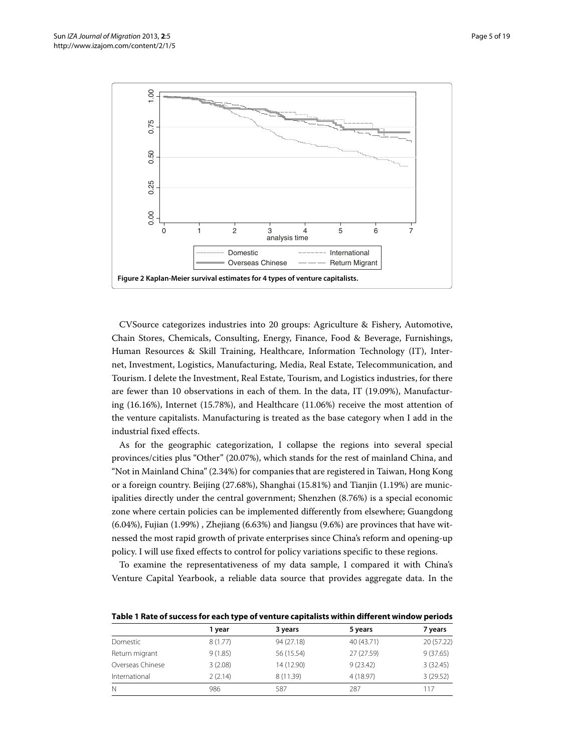

<span id="page-4-0"></span>CVSource categorizes industries into 20 groups: Agriculture & Fishery, Automotive, Chain Stores, Chemicals, Consulting, Energy, Finance, Food & Beverage, Furnishings, Human Resources & Skill Training, Healthcare, Information Technology (IT), Internet, Investment, Logistics, Manufacturing, Media, Real Estate, Telecommunication, and Tourism. I delete the Investment, Real Estate, Tourism, and Logistics industries, for there are fewer than 10 observations in each of them. In the data, IT (19.09%), Manufacturing (16.16%), Internet (15.78%), and Healthcare (11.06%) receive the most attention of the venture capitalists. Manufacturing is treated as the base category when I add in the industrial fixed effects.

As for the geographic categorization, I collapse the regions into several special provinces/cities plus "Other" (20.07%), which stands for the rest of mainland China, and "Not in Mainland China" (2.34%) for companies that are registered in Taiwan, Hong Kong or a foreign country. Beijing (27.68%), Shanghai (15.81%) and Tianjin (1.19%) are municipalities directly under the central government; Shenzhen (8.76%) is a special economic zone where certain policies can be implemented differently from elsewhere; Guangdong (6.04%), Fujian (1.99%) , Zhejiang (6.63%) and Jiangsu (9.6%) are provinces that have witnessed the most rapid growth of private enterprises since China's reform and opening-up policy. I will use fixed effects to control for policy variations specific to these regions.

To examine the representativeness of my data sample, I compared it with China's Venture Capital Yearbook, a reliable data source that provides aggregate data. In the

<span id="page-4-1"></span>**Table 1 Rate of success for each type of venture capitalists within different window periods**

|                  | 1 year  | 3 years    | 5 years    | 7 years    |
|------------------|---------|------------|------------|------------|
| Domestic         | 8(1.77) | 94 (27.18) | 40 (43.71) | 20 (57.22) |
| Return migrant   | 9(1.85) | 56 (15.54) | 27 (27.59) | 9(37.65)   |
| Overseas Chinese | 3(2.08) | 14 (12.90) | 9(23.42)   | 3(32.45)   |
| International    | 2(2.14) | 8 (11.39)  | 4(18.97)   | 3(29.52)   |
| N                | 986     | 587        | 287        | 117        |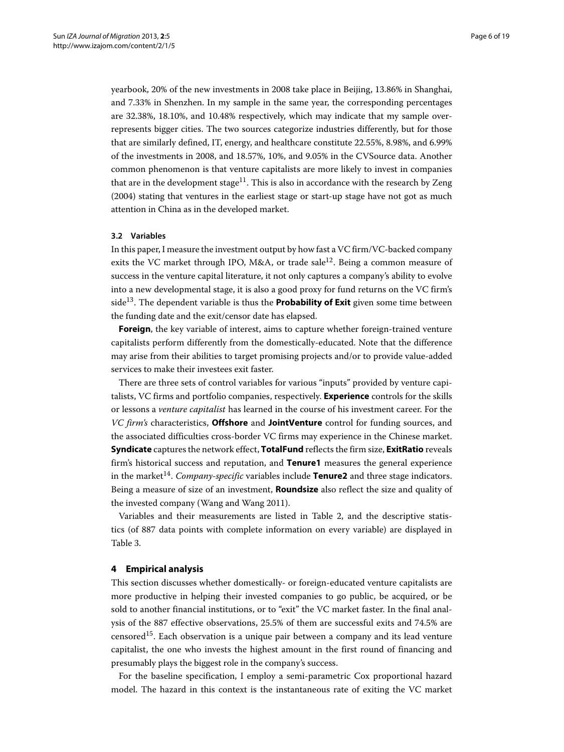yearbook, 20% of the new investments in 2008 take place in Beijing, 13.86% in Shanghai, and 7.33% in Shenzhen. In my sample in the same year, the corresponding percentages are 32.38%, 18.10%, and 10.48% respectively, which may indicate that my sample overrepresents bigger cities. The two sources categorize industries differently, but for those that are similarly defined, IT, energy, and healthcare constitute 22.55%, 8.98%, and 6.99% of the investments in 2008, and 18.57%, 10%, and 9.05% in the CVSource data. Another common phenomenon is that venture capitalists are more likely to invest in companies that are in the development stage<sup>11</sup>. This is also in accordance with the research by Zeng (2004) stating that ventures in the earliest stage or start-up stage have not got as much attention in China as in the developed market.

#### **3.2 Variables**

In this paper, I measure the investment output by how fast a VC firm/VC-backed company exits the VC market through IPO, M&A, or trade sale<sup>12</sup>. Being a common measure of success in the venture capital literature, it not only captures a company's ability to evolve into a new developmental stage, it is also a good proxy for fund returns on the VC firm's side13. The dependent variable is thus the **Probability of Exit** given some time between the funding date and the exit/censor date has elapsed.

**Foreign**, the key variable of interest, aims to capture whether foreign-trained venture capitalists perform differently from the domestically-educated. Note that the difference may arise from their abilities to target promising projects and/or to provide value-added services to make their investees exit faster.

There are three sets of control variables for various "inputs" provided by venture capitalists, VC firms and portfolio companies, respectively. **Experience** controls for the skills or lessons a *venture capitalist* has learned in the course of his investment career. For the *VC firm's* characteristics, **Offshore** and **JointVenture** control for funding sources, and the associated difficulties cross-border VC firms may experience in the Chinese market. **Syndicate** captures the network effect, **TotalFund** reflects the firm size, **ExitRatio** reveals firm's historical success and reputation, and **Tenure1** measures the general experience in the market14. *Company-specific* variables include **Tenure2** and three stage indicators. Being a measure of size of an investment, **Roundsize** also reflect the size and quality of the invested company (Wang and Wang [2011\)](#page-18-9).

Variables and their measurements are listed in Table [2,](#page-6-0) and the descriptive statistics (of 887 data points with complete information on every variable) are displayed in Table [3.](#page-6-1)

#### <span id="page-5-0"></span>**4 Empirical analysis**

This section discusses whether domestically- or foreign-educated venture capitalists are more productive in helping their invested companies to go public, be acquired, or be sold to another financial institutions, or to "exit" the VC market faster. In the final analysis of the 887 effective observations, 25.5% of them are successful exits and 74.5% are censored15. Each observation is a unique pair between a company and its lead venture capitalist, the one who invests the highest amount in the first round of financing and presumably plays the biggest role in the company's success.

For the baseline specification, I employ a semi-parametric Cox proportional hazard model. The hazard in this context is the instantaneous rate of exiting the VC market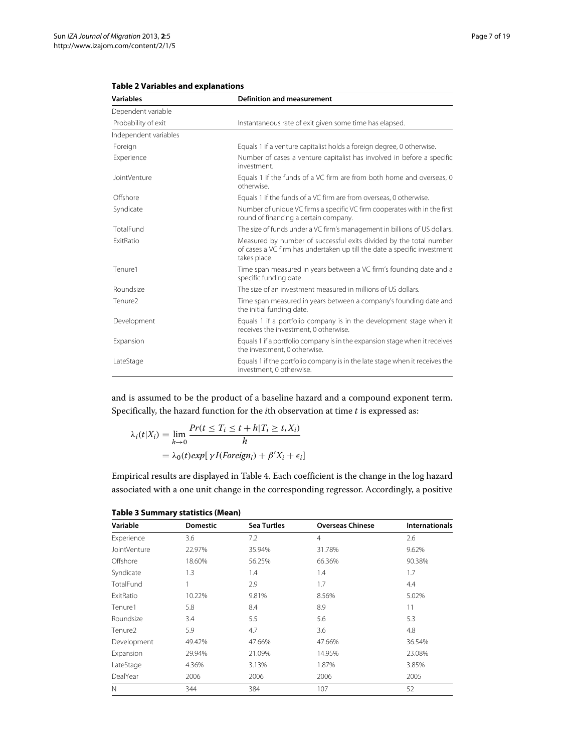<span id="page-6-0"></span>

| $1901C + 1911901C$ , $9119C01911911$ |                                                                                                                                                                |  |  |  |  |
|--------------------------------------|----------------------------------------------------------------------------------------------------------------------------------------------------------------|--|--|--|--|
| <b>Variables</b>                     | <b>Definition and measurement</b>                                                                                                                              |  |  |  |  |
| Dependent variable                   |                                                                                                                                                                |  |  |  |  |
| Probability of exit                  | Instantaneous rate of exit given some time has elapsed.                                                                                                        |  |  |  |  |
| Independent variables                |                                                                                                                                                                |  |  |  |  |
| Foreign                              | Equals 1 if a venture capitalist holds a foreign degree, 0 otherwise.                                                                                          |  |  |  |  |
| Experience                           | Number of cases a venture capitalist has involved in before a specific<br>investment                                                                           |  |  |  |  |
| JointVenture                         | Equals 1 if the funds of a VC firm are from both home and overseas, 0<br>otherwise                                                                             |  |  |  |  |
| Offshore                             | Equals 1 if the funds of a VC firm are from overseas, 0 otherwise.                                                                                             |  |  |  |  |
| Syndicate                            | Number of unique VC firms a specific VC firm cooperates with in the first<br>round of financing a certain company.                                             |  |  |  |  |
| TotalFund                            | The size of funds under a VC firm's management in billions of US dollars.                                                                                      |  |  |  |  |
| ExitRatio                            | Measured by number of successful exits divided by the total number<br>of cases a VC firm has undertaken up till the date a specific investment<br>takes place. |  |  |  |  |
| Tenure1                              | Time span measured in years between a VC firm's founding date and a<br>specific funding date.                                                                  |  |  |  |  |
| Roundsize                            | The size of an investment measured in millions of US dollars.                                                                                                  |  |  |  |  |
| Tenure <sub>2</sub>                  | Time span measured in years between a company's founding date and<br>the initial funding date.                                                                 |  |  |  |  |
| Development                          | Equals 1 if a portfolio company is in the development stage when it<br>receives the investment. 0 otherwise.                                                   |  |  |  |  |
| Expansion                            | Equals 1 if a portfolio company is in the expansion stage when it receives<br>the investment. 0 otherwise.                                                     |  |  |  |  |
| LateStage                            | Equals 1 if the portfolio company is in the late stage when it receives the<br>investment, 0 otherwise.                                                        |  |  |  |  |

## **Table 2 Variables and explanations**

and is assumed to be the product of a baseline hazard and a compound exponent term. Specifically, the hazard function for the *i*th observation at time *t* is expressed as:

$$
\lambda_i(t|X_i) = \lim_{h \to 0} \frac{Pr(t \le T_i \le t + h|T_i \ge t, X_i)}{h}
$$
  
= 
$$
\lambda_0(t) \exp[\gamma I(Foreign_i) + \beta' X_i + \epsilon_i]
$$

Empirical results are displayed in Table [4.](#page-7-0) Each coefficient is the change in the log hazard associated with a one unit change in the corresponding regressor. Accordingly, a positive

<span id="page-6-1"></span>

| Variable            | <b>Domestic</b> | <b>Sea Turtles</b> | <b>Overseas Chinese</b> | <b>Internationals</b> |  |
|---------------------|-----------------|--------------------|-------------------------|-----------------------|--|
| Experience          | 3.6             | 7.2                | $\overline{4}$          | 2.6                   |  |
| JointVenture        | 22.97%          | 35.94%             | 31.78%                  | 9.62%                 |  |
| Offshore            | 18.60%          | 56.25%             | 66.36%                  | 90.38%                |  |
| Syndicate           | 1.3             | 1.4                | 1.4                     | 1.7                   |  |
| TotalFund           |                 | 2.9                | 1.7                     | 4.4                   |  |
| ExitRatio           | 10.22%          | 9.81%              | 8.56%                   | 5.02%                 |  |
| Tenure1             | 5.8             | 8.4                | 8.9                     | 11                    |  |
| Roundsize           | 3.4             | 5.5                | 5.6                     | 5.3                   |  |
| Tenure <sub>2</sub> | 5.9             | 4.7                | 3.6                     | 4.8                   |  |
| Development         | 49.42%          | 47.66%             | 47.66%                  | 36.54%                |  |
| Expansion           | 29.94%          | 21.09%             | 14.95%                  | 23.08%                |  |
| LateStage           | 4.36%           | 3.13%              | 1.87%                   | 3.85%                 |  |
| DealYear            | 2006            | 2006               | 2006                    | 2005                  |  |
| N                   | 344             | 384                | 107                     | 52                    |  |

#### **Table 3 Summary statistics (Mean)**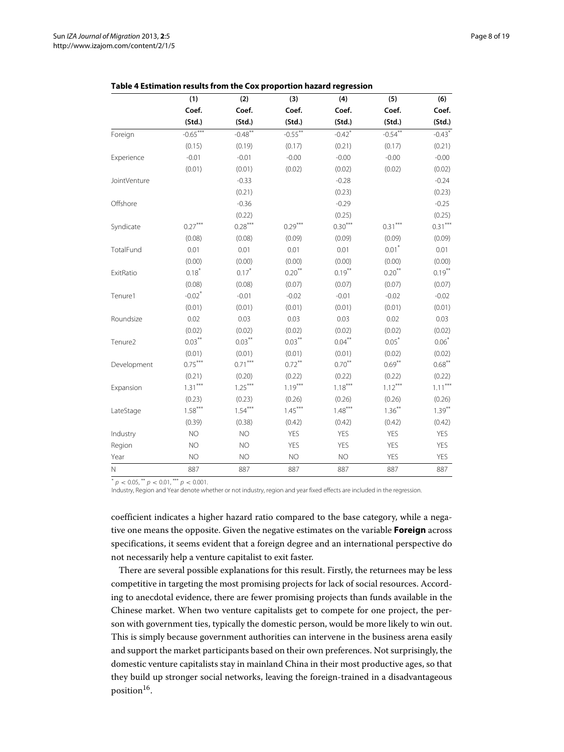<span id="page-7-0"></span>

|              | (1)                  | (2)        | (3)        | (4)                  | (5)        | (6)        |
|--------------|----------------------|------------|------------|----------------------|------------|------------|
|              | Coef.                | Coef.      | Coef.      | Coef.                | Coef.      | Coef.      |
|              | (Std.)               | (Std.)     | (Std.)     | (Std.)               | (Std.)     | (Std.)     |
| Foreign      | $-0.65***$           | $-0.48$ ** | $-0.55***$ | $-0.42$ <sup>*</sup> | $-0.54***$ | $-0.43*$   |
|              | (0.15)               | (0.19)     | (0.17)     | (0.21)               | (0.17)     | (0.21)     |
| Experience   | $-0.01$              | $-0.01$    | $-0.00$    | $-0.00$              | $-0.00$    | $-0.00$    |
|              | (0.01)               | (0.01)     | (0.02)     | (0.02)               | (0.02)     | (0.02)     |
| JointVenture |                      | $-0.33$    |            | $-0.28$              |            | $-0.24$    |
|              |                      | (0.21)     |            | (0.23)               |            | (0.23)     |
| Offshore     |                      | $-0.36$    |            | $-0.29$              |            | $-0.25$    |
|              |                      | (0.22)     |            | (0.25)               |            | (0.25)     |
| Syndicate    | $0.27***$            | $0.28***$  | $0.29***$  | $0.30***$            | $0.31***$  | $0.31***$  |
|              | (0.08)               | (0.08)     | (0.09)     | (0.09)               | (0.09)     | (0.09)     |
| TotalFund    | 0.01                 | 0.01       | 0.01       | 0.01                 | $0.01*$    | 0.01       |
|              | (0.00)               | (0.00)     | (0.00)     | (0.00)               | (0.00)     | (0.00)     |
| ExitRatio    | $0.18*$              | $0.17*$    | $0.20***$  | $0.19***$            | $0.20***$  | $0.19***$  |
|              | (0.08)               | (0.08)     | (0.07)     | (0.07)               | (0.07)     | (0.07)     |
| Tenure1      | $-0.02$ <sup>*</sup> | $-0.01$    | $-0.02$    | $-0.01$              | $-0.02$    | $-0.02$    |
|              | (0.01)               | (0.01)     | (0.01)     | (0.01)               | (0.01)     | (0.01)     |
| Roundsize    | 0.02                 | 0.03       | 0.03       | 0.03                 | 0.02       | 0.03       |
|              | (0.02)               | (0.02)     | (0.02)     | (0.02)               | (0.02)     | (0.02)     |
| Tenure2      | $0.03***$            | $0.03***$  | $0.03***$  | $0.04***$            | $0.05*$    | $0.06*$    |
|              | (0.01)               | (0.01)     | (0.01)     | (0.01)               | (0.02)     | (0.02)     |
| Development  | $0.75***$            | $0.71***$  | $0.72***$  | $0.70***$            | $0.69***$  | $0.68***$  |
|              | (0.21)               | (0.20)     | (0.22)     | (0.22)               | (0.22)     | (0.22)     |
| Expansion    | $1.31***$            | $1.25***$  | $1.19***$  | $1.18***$            | $1.12***$  | $1.11***$  |
|              | (0.23)               | (0.23)     | (0.26)     | (0.26)               | (0.26)     | (0.26)     |
| LateStage    | $1.58***$            | $1.54***$  | $1.45***$  | $1.48***$            | $1.36***$  | $1.39***$  |
|              | (0.39)               | (0.38)     | (0.42)     | (0.42)               | (0.42)     | (0.42)     |
| Industry     | <b>NO</b>            | <b>NO</b>  | <b>YES</b> | <b>YES</b>           | YES        | <b>YES</b> |
| Region       | NO                   | <b>NO</b>  | <b>YES</b> | <b>YES</b>           | <b>YES</b> | <b>YES</b> |
| Year         | NO                   | <b>NO</b>  | NO         | NO                   | <b>YES</b> | <b>YES</b> |
| N            | 887                  | 887        | 887        | 887                  | 887        | 887        |

 $p^* p < 0.05$ ,  $p^* p < 0.01$ ,  $p^* p < 0.001$ .

Industry, Region and Year denote whether or not industry, region and year fixed effects are included in the regression.

coefficient indicates a higher hazard ratio compared to the base category, while a negative one means the opposite. Given the negative estimates on the variable **Foreign** across specifications, it seems evident that a foreign degree and an international perspective do not necessarily help a venture capitalist to exit faster.

There are several possible explanations for this result. Firstly, the returnees may be less competitive in targeting the most promising projects for lack of social resources. According to anecdotal evidence, there are fewer promising projects than funds available in the Chinese market. When two venture capitalists get to compete for one project, the person with government ties, typically the domestic person, would be more likely to win out. This is simply because government authorities can intervene in the business arena easily and support the market participants based on their own preferences. Not surprisingly, the domestic venture capitalists stay in mainland China in their most productive ages, so that they build up stronger social networks, leaving the foreign-trained in a disadvantageous position<sup>16</sup>.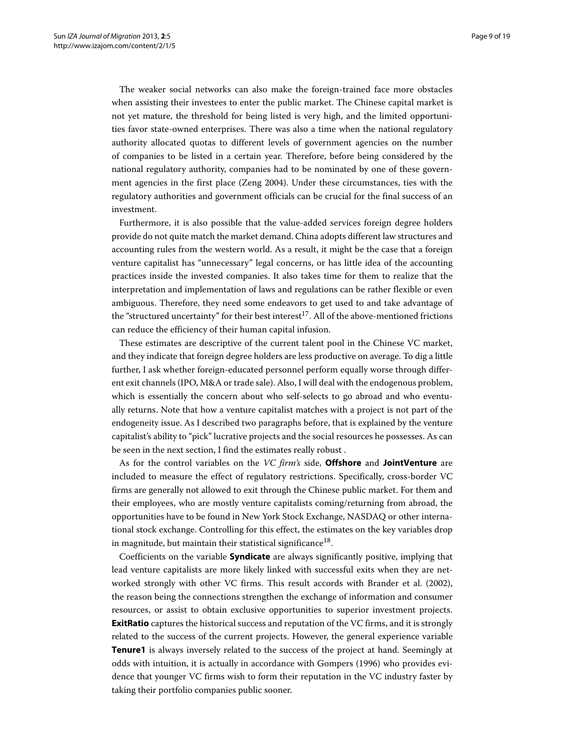The weaker social networks can also make the foreign-trained face more obstacles when assisting their investees to enter the public market. The Chinese capital market is not yet mature, the threshold for being listed is very high, and the limited opportunities favor state-owned enterprises. There was also a time when the national regulatory authority allocated quotas to different levels of government agencies on the number of companies to be listed in a certain year. Therefore, before being considered by the national regulatory authority, companies had to be nominated by one of these government agencies in the first place (Zeng [2004\)](#page-18-10). Under these circumstances, ties with the regulatory authorities and government officials can be crucial for the final success of an investment.

Furthermore, it is also possible that the value-added services foreign degree holders provide do not quite match the market demand. China adopts different law structures and accounting rules from the western world. As a result, it might be the case that a foreign venture capitalist has "unnecessary" legal concerns, or has little idea of the accounting practices inside the invested companies. It also takes time for them to realize that the interpretation and implementation of laws and regulations can be rather flexible or even ambiguous. Therefore, they need some endeavors to get used to and take advantage of the "structured uncertainty" for their best interest<sup>17</sup>. All of the above-mentioned frictions can reduce the efficiency of their human capital infusion.

These estimates are descriptive of the current talent pool in the Chinese VC market, and they indicate that foreign degree holders are less productive on average. To dig a little further, I ask whether foreign-educated personnel perform equally worse through different exit channels (IPO, M&A or trade sale). Also, I will deal with the endogenous problem, which is essentially the concern about who self-selects to go abroad and who eventually returns. Note that how a venture capitalist matches with a project is not part of the endogeneity issue. As I described two paragraphs before, that is explained by the venture capitalist's ability to "pick" lucrative projects and the social resources he possesses. As can be seen in the next section, I find the estimates really robust .

As for the control variables on the *VC firm's* side, **Offshore** and **JointVenture** are included to measure the effect of regulatory restrictions. Specifically, cross-border VC firms are generally not allowed to exit through the Chinese public market. For them and their employees, who are mostly venture capitalists coming/returning from abroad, the opportunities have to be found in New York Stock Exchange, NASDAQ or other international stock exchange. Controlling for this effect, the estimates on the key variables drop in magnitude, but maintain their statistical significance<sup>18</sup>.

Coefficients on the variable **Syndicate** are always significantly positive, implying that lead venture capitalists are more likely linked with successful exits when they are networked strongly with other VC firms. This result accords with [Brander et al. \(2002\)](#page-17-10), the reason being the connections strengthen the exchange of information and consumer resources, or assist to obtain exclusive opportunities to superior investment projects. **ExitRatio** captures the historical success and reputation of the VC firms, and it is strongly related to the success of the current projects. However, the general experience variable **Tenure1** is always inversely related to the success of the project at hand. Seemingly at odds with intuition, it is actually in accordance with [Gompers \(1996\)](#page-17-11) who provides evidence that younger VC firms wish to form their reputation in the VC industry faster by taking their portfolio companies public sooner.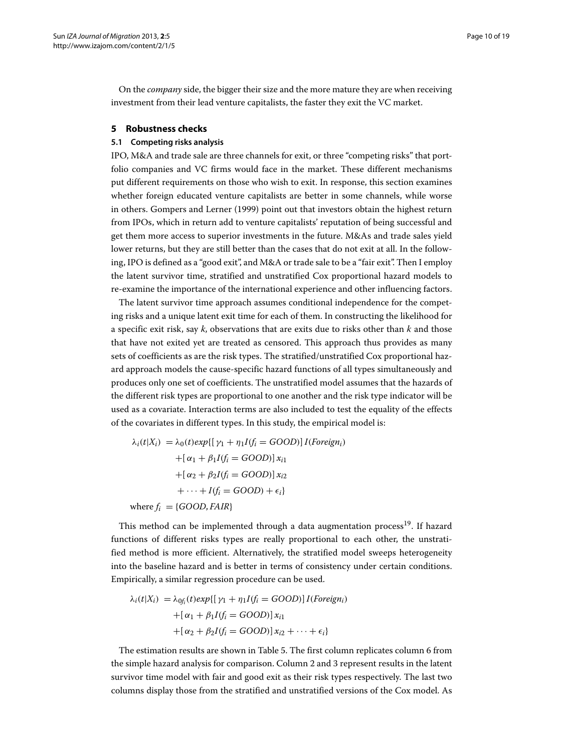On the *company* side, the bigger their size and the more mature they are when receiving investment from their lead venture capitalists, the faster they exit the VC market.

### <span id="page-9-0"></span>**5 Robustness checks**

#### **5.1 Competing risks analysis**

IPO, M&A and trade sale are three channels for exit, or three "competing risks" that portfolio companies and VC firms would face in the market. These different mechanisms put different requirements on those who wish to exit. In response, this section examines whether foreign educated venture capitalists are better in some channels, while worse in others. [Gompers and Lerner \(1999\)](#page-17-12) point out that investors obtain the highest return from IPOs, which in return add to venture capitalists' reputation of being successful and get them more access to superior investments in the future. M&As and trade sales yield lower returns, but they are still better than the cases that do not exit at all. In the following, IPO is defined as a "good exit", and M&A or trade sale to be a "fair exit". Then I employ the latent survivor time, stratified and unstratified Cox proportional hazard models to re-examine the importance of the international experience and other influencing factors.

The latent survivor time approach assumes conditional independence for the competing risks and a unique latent exit time for each of them. In constructing the likelihood for a specific exit risk, say *k*, observations that are exits due to risks other than *k* and those that have not exited yet are treated as censored. This approach thus provides as many sets of coefficients as are the risk types. The stratified/unstratified Cox proportional hazard approach models the cause-specific hazard functions of all types simultaneously and produces only one set of coefficients. The unstratified model assumes that the hazards of the different risk types are proportional to one another and the risk type indicator will be used as a covariate. Interaction terms are also included to test the equality of the effects of the covariates in different types. In this study, the empirical model is:

$$
\lambda_i(t|X_i) = \lambda_0(t)exp\{[\gamma_1 + \eta_1 I(f_i = GOOD)] I(Foreign_i) + [\alpha_1 + \beta_1 I(f_i = GOOD)] x_{i1} + [\alpha_2 + \beta_2 I(f_i = GOOD)] x_{i2} + \cdots + I(f_i = GOOD) + \epsilon_i\}
$$
  
where  $f_i = \{GOOD, FAIR\}$ 

This method can be implemented through a data augmentation process<sup>19</sup>. If hazard functions of different risks types are really proportional to each other, the unstratified method is more efficient. Alternatively, the stratified model sweeps heterogeneity into the baseline hazard and is better in terms of consistency under certain conditions. Empirically, a similar regression procedure can be used.

$$
\lambda_i(t|X_i) = \lambda_{0f_i}(t)exp\{[\gamma_1 + \eta_1 I(f_i = GOOD)] I(Foreign_i) + [\alpha_1 + \beta_1 I(f_i = GOOD)]x_{i1} + [\alpha_2 + \beta_2 I(f_i = GOOD)]x_{i2} + \dots + \epsilon_i\}
$$

The estimation results are shown in Table [5.](#page-10-0) The first column replicates column 6 from the simple hazard analysis for comparison. Column 2 and 3 represent results in the latent survivor time model with fair and good exit as their risk types respectively. The last two columns display those from the stratified and unstratified versions of the Cox model. As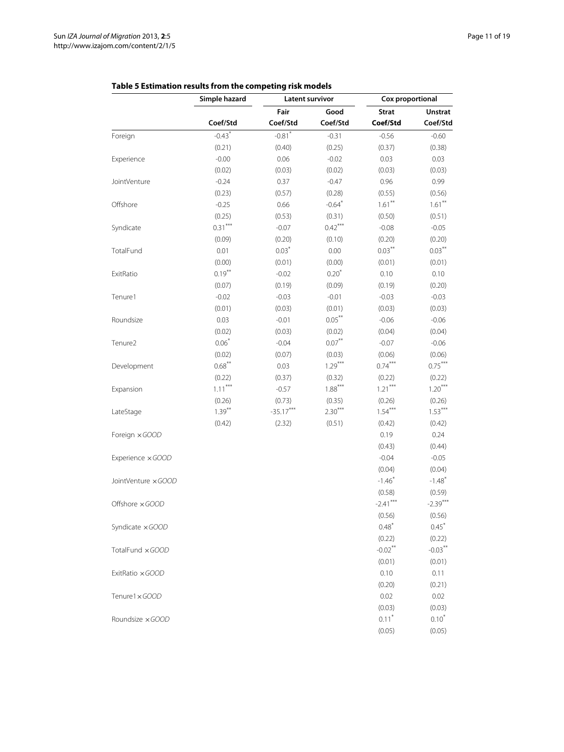|                     | Simple hazard        |                      | Latent survivor      | Cox proportional     |                      |  |
|---------------------|----------------------|----------------------|----------------------|----------------------|----------------------|--|
|                     |                      | Fair                 | Good                 | <b>Strat</b>         | Unstrat              |  |
|                     | Coef/Std             | Coef/Std             | Coef/Std             | Coef/Std             | Coef/Std             |  |
| Foreign             | $-0.43$ <sup>*</sup> | $-0.81$ <sup>*</sup> | $-0.31$              | $-0.56$              | $-0.60$              |  |
|                     | (0.21)               | (0.40)               | (0.25)               | (0.37)               | (0.38)               |  |
| Experience          | $-0.00$              | 0.06                 | $-0.02$              | 0.03                 | 0.03                 |  |
|                     | (0.02)               | (0.03)               | (0.02)               | (0.03)               | (0.03)               |  |
| JointVenture        | $-0.24$              | 0.37                 | $-0.47$              | 0.96                 | 0.99                 |  |
|                     | (0.23)               | (0.57)               | (0.28)               | (0.55)               | (0.56)               |  |
| Offshore            | $-0.25$              | 0.66                 | $-0.64$ <sup>*</sup> | $1.61***$            | $1.61***$            |  |
|                     | (0.25)               | (0.53)               | (0.31)               | (0.50)               | (0.51)               |  |
| Syndicate           | $0.31***$            | $-0.07$              | $0.42***$            | $-0.08$              | $-0.05$              |  |
|                     | (0.09)               | (0.20)               | (0.10)               | (0.20)               | (0.20)               |  |
| TotalFund           | 0.01                 | $0.03*$              | 0.00                 | $0.03***$            | $0.03***$            |  |
|                     | (0.00)               | (0.01)               | (0.00)               | (0.01)               | (0.01)               |  |
| ExitRatio           | $0.19***$            | $-0.02$              | $0.20*$              | 0.10                 | 0.10                 |  |
|                     | (0.07)               | (0.19)               | (0.09)               | (0.19)               | (0.20)               |  |
| Tenure1             | $-0.02$              | $-0.03$              | $-0.01$              | $-0.03$              | $-0.03$              |  |
|                     | (0.01)               | (0.03)               | (0.01)               | (0.03)               | (0.03)               |  |
| Roundsize           | 0.03                 | $-0.01$              | $0.05***$            | $-0.06$              | $-0.06$              |  |
|                     | (0.02)               | (0.03)               | (0.02)               | (0.04)               | (0.04)               |  |
| Tenure2             | $0.06*$              | $-0.04$              | $0.07***$            | $-0.07$              | $-0.06$              |  |
|                     | (0.02)               | (0.07)               | (0.03)               | (0.06)               | (0.06)               |  |
| Development         | $0.68***$            | 0.03                 | $1.29***$            | $0.74***$            | $0.75***$            |  |
|                     | (0.22)               | (0.37)               | (0.32)               | (0.22)               | (0.22)               |  |
| Expansion           | $1.11***$            | $-0.57$              | $1.88***$            | $1.21***$            | $1.20***$            |  |
|                     | (0.26)               | (0.73)               | (0.35)               | (0.26)               | (0.26)               |  |
|                     | $1.39***$            | $-35.17***$          | $2.30***$            | $1.54***$            | $1.53***$            |  |
| LateStage           |                      |                      |                      |                      |                      |  |
|                     | (0.42)               | (2.32)               | (0.51)               | (0.42)               | (0.42)               |  |
| Foreign x GOOD      |                      |                      |                      | 0.19                 | 0.24                 |  |
|                     |                      |                      |                      | (0.43)               | (0.44)               |  |
| Experience x GOOD   |                      |                      |                      | $-0.04$              | $-0.05$              |  |
|                     |                      |                      |                      | (0.04)               | (0.04)               |  |
| JointVenture x GOOD |                      |                      |                      | $-1.46$ <sup>*</sup> | $-1.48$ <sup>*</sup> |  |
|                     |                      |                      |                      | (0.58)               | (0.59)               |  |
| Offshore x GOOD     |                      |                      |                      | $-2.41***$           | $-2.39***$           |  |
|                     |                      |                      |                      | (0.56)               | (0.56)               |  |
| Syndicate x GOOD    |                      |                      |                      | $0.48*$              | $0.45*$              |  |
|                     |                      |                      |                      | (0.22)               | (0.22)               |  |
| TotalFund xGOOD     |                      |                      |                      | $-0.02$ **           | $-0.03***$           |  |
|                     |                      |                      |                      | (0.01)               | (0.01)               |  |
| ExitRatio x GOOD    |                      |                      |                      | 0.10                 | 0.11                 |  |
|                     |                      |                      |                      | (0.20)               | (0.21)               |  |
| Tenure1 × GOOD      |                      |                      |                      | 0.02                 | 0.02                 |  |
|                     |                      |                      |                      | (0.03)               | (0.03)               |  |
| Roundsize × GOOD    |                      |                      |                      | $0.11*$              | $0.10*$              |  |
|                     |                      |                      |                      | (0.05)               | (0.05)               |  |

<span id="page-10-0"></span>

| Table 5 Estimation results from the competing risk models |  |
|-----------------------------------------------------------|--|
|-----------------------------------------------------------|--|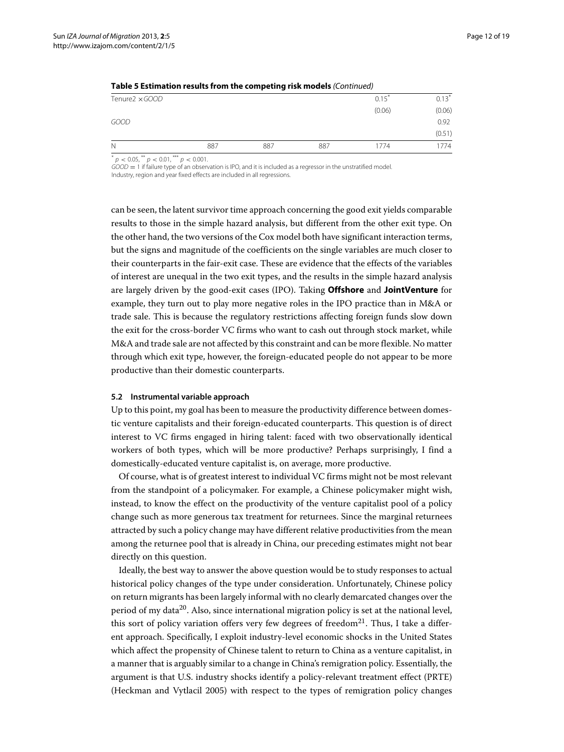| $140123$ Extended Foundation (1911) and extrapeling How models (Commuta) |     |     |     |                  |        |  |  |
|--------------------------------------------------------------------------|-----|-----|-----|------------------|--------|--|--|
| Tenure2 × GOOD                                                           |     |     |     | $0.15^{\degree}$ | $013*$ |  |  |
|                                                                          |     |     |     | (0.06)           | (0.06) |  |  |
| <b>GOOD</b>                                                              |     |     |     |                  | 0.92   |  |  |
|                                                                          |     |     |     |                  | (0.51) |  |  |
| N                                                                        | 887 | 887 | 887 | 774              | 1774   |  |  |

| Table 5 Estimation results from the competing risk models (Continued) |  |
|-----------------------------------------------------------------------|--|
|-----------------------------------------------------------------------|--|

 $p^* = 0.05$ ,  $p^* = 0.01$ ,  $p^* = 0.001$ .

GOOD = 1 if failure type of an observation is IPO, and it is included as a regressor in the unstratified model.

Industry, region and year fixed effects are included in all regressions.

can be seen, the latent survivor time approach concerning the good exit yields comparable results to those in the simple hazard analysis, but different from the other exit type. On the other hand, the two versions of the Cox model both have significant interaction terms, but the signs and magnitude of the coefficients on the single variables are much closer to their counterparts in the fair-exit case. These are evidence that the effects of the variables of interest are unequal in the two exit types, and the results in the simple hazard analysis are largely driven by the good-exit cases (IPO). Taking **Offshore** and **JointVenture** for example, they turn out to play more negative roles in the IPO practice than in M&A or trade sale. This is because the regulatory restrictions affecting foreign funds slow down the exit for the cross-border VC firms who want to cash out through stock market, while M&A and trade sale are not affected by this constraint and can be more flexible. No matter through which exit type, however, the foreign-educated people do not appear to be more productive than their domestic counterparts.

#### **5.2 Instrumental variable approach**

Up to this point, my goal has been to measure the productivity difference between domestic venture capitalists and their foreign-educated counterparts. This question is of direct interest to VC firms engaged in hiring talent: faced with two observationally identical workers of both types, which will be more productive? Perhaps surprisingly, I find a domestically-educated venture capitalist is, on average, more productive.

Of course, what is of greatest interest to individual VC firms might not be most relevant from the standpoint of a policymaker. For example, a Chinese policymaker might wish, instead, to know the effect on the productivity of the venture capitalist pool of a policy change such as more generous tax treatment for returnees. Since the marginal returnees attracted by such a policy change may have different relative productivities from the mean among the returnee pool that is already in China, our preceding estimates might not bear directly on this question.

Ideally, the best way to answer the above question would be to study responses to actual historical policy changes of the type under consideration. Unfortunately, Chinese policy on return migrants has been largely informal with no clearly demarcated changes over the period of my data<sup>20</sup>. Also, since international migration policy is set at the national level, this sort of policy variation offers very few degrees of freedom<sup>21</sup>. Thus, I take a different approach. Specifically, I exploit industry-level economic shocks in the United States which affect the propensity of Chinese talent to return to China as a venture capitalist, in a manner that is arguably similar to a change in China's remigration policy. Essentially, the argument is that U.S. industry shocks identify a policy-relevant treatment effect (PRTE) (Heckman and Vytlacil [2005\)](#page-18-11) with respect to the types of remigration policy changes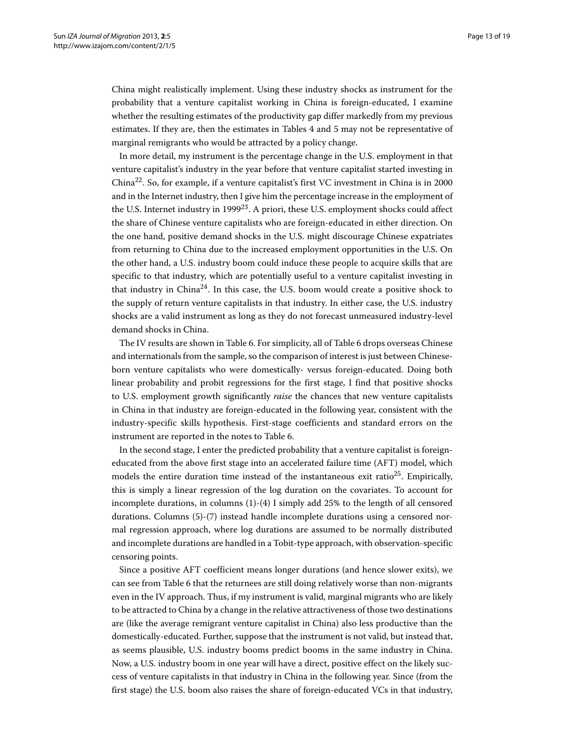China might realistically implement. Using these industry shocks as instrument for the probability that a venture capitalist working in China is foreign-educated, I examine whether the resulting estimates of the productivity gap differ markedly from my previous estimates. If they are, then the estimates in Tables [4](#page-7-0) and [5](#page-10-0) may not be representative of marginal remigrants who would be attracted by a policy change.

In more detail, my instrument is the percentage change in the U.S. employment in that venture capitalist's industry in the year before that venture capitalist started investing in China<sup>22</sup>. So, for example, if a venture capitalist's first VC investment in China is in 2000 and in the Internet industry, then I give him the percentage increase in the employment of the U.S. Internet industry in 1999<sup>23</sup>. A priori, these U.S. employment shocks could affect the share of Chinese venture capitalists who are foreign-educated in either direction. On the one hand, positive demand shocks in the U.S. might discourage Chinese expatriates from returning to China due to the increased employment opportunities in the U.S. On the other hand, a U.S. industry boom could induce these people to acquire skills that are specific to that industry, which are potentially useful to a venture capitalist investing in that industry in China<sup>24</sup>. In this case, the U.S. boom would create a positive shock to the supply of return venture capitalists in that industry. In either case, the U.S. industry shocks are a valid instrument as long as they do not forecast unmeasured industry-level demand shocks in China.

The IV results are shown in Table [6.](#page-13-1) For simplicity, all of Table [6](#page-13-1) drops overseas Chinese and internationals from the sample, so the comparison of interest is just between Chineseborn venture capitalists who were domestically- versus foreign-educated. Doing both linear probability and probit regressions for the first stage, I find that positive shocks to U.S. employment growth significantly *raise* the chances that new venture capitalists in China in that industry are foreign-educated in the following year, consistent with the industry-specific skills hypothesis. First-stage coefficients and standard errors on the instrument are reported in the notes to Table [6.](#page-13-1)

In the second stage, I enter the predicted probability that a venture capitalist is foreigneducated from the above first stage into an accelerated failure time (AFT) model, which models the entire duration time instead of the instantaneous exit ratio<sup>25</sup>. Empirically, this is simply a linear regression of the log duration on the covariates. To account for incomplete durations, in columns (1)-(4) I simply add 25% to the length of all censored durations. Columns (5)-(7) instead handle incomplete durations using a censored normal regression approach, where log durations are assumed to be normally distributed and incomplete durations are handled in a Tobit-type approach, with observation-specific censoring points.

Since a positive AFT coefficient means longer durations (and hence slower exits), we can see from Table [6](#page-13-1) that the returnees are still doing relatively worse than non-migrants even in the IV approach. Thus, if my instrument is valid, marginal migrants who are likely to be attracted to China by a change in the relative attractiveness of those two destinations are (like the average remigrant venture capitalist in China) also less productive than the domestically-educated. Further, suppose that the instrument is not valid, but instead that, as seems plausible, U.S. industry booms predict booms in the same industry in China. Now, a U.S. industry boom in one year will have a direct, positive effect on the likely success of venture capitalists in that industry in China in the following year. Since (from the first stage) the U.S. boom also raises the share of foreign-educated VCs in that industry,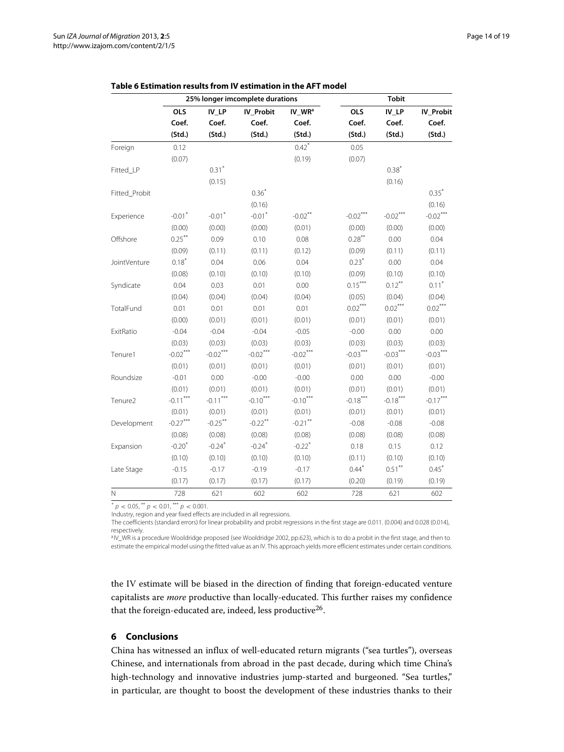|               | 25% longer imcomplete durations |                      |                       |                       |            | <b>Tobit</b> |                  |  |  |
|---------------|---------------------------------|----------------------|-----------------------|-----------------------|------------|--------------|------------------|--|--|
|               | <b>OLS</b>                      | IV_LP                | <b>IV Probit</b>      | IV_WR <sup>a</sup>    | <b>OLS</b> | IV_LP        | <b>IV_Probit</b> |  |  |
|               | Coef.                           | Coef.                | Coef.                 | Coef.                 | Coef.      | Coef.        | Coef.            |  |  |
|               | (Std.)                          | (Std.)               | (Std.)                | (Std.)                | (Std.)     | (Std.)       | (Std.)           |  |  |
| Foreign       | 0.12                            |                      |                       | $0.42*$               | 0.05       |              |                  |  |  |
|               | (0.07)                          |                      |                       | (0.19)                | (0.07)     |              |                  |  |  |
| Fitted_LP     |                                 | $0.31$ <sup>*</sup>  |                       |                       |            | $0.38^{*}$   |                  |  |  |
|               |                                 | (0.15)               |                       |                       |            | (0.16)       |                  |  |  |
| Fitted_Probit |                                 |                      | $0.36*$               |                       |            |              | $0.35^*$         |  |  |
|               |                                 |                      | (0.16)                |                       |            |              | (0.16)           |  |  |
| Experience    | $-0.01$ <sup>*</sup>            | $-0.01$ <sup>*</sup> | $-0.01$ <sup>*</sup>  | $-0.02$ <sup>**</sup> | $-0.02***$ | $-0.02***$   | $-0.02***$       |  |  |
|               | (0.00)                          | (0.00)               | (0.00)                | (0.01)                | (0.00)     | (0.00)       | (0.00)           |  |  |
| Offshore      | $0.25***$                       | 0.09                 | 0.10                  | 0.08                  | $0.28***$  | 0.00         | 0.04             |  |  |
|               | (0.09)                          | (0.11)               | (0.11)                | (0.12)                | (0.09)     | (0.11)       | (0.11)           |  |  |
| JointVenture  | $0.18*$                         | 0.04                 | 0.06                  | 0.04                  | $0.23*$    | 0.00         | 0.04             |  |  |
|               | (0.08)                          | (0.10)               | (0.10)                | (0.10)                | (0.09)     | (0.10)       | (0.10)           |  |  |
| Syndicate     | 0.04                            | 0.03                 | 0.01                  | 0.00                  | $0.15***$  | $0.12***$    | $0.11*$          |  |  |
|               | (0.04)                          | (0.04)               | (0.04)                | (0.04)                | (0.05)     | (0.04)       | (0.04)           |  |  |
| TotalFund     | 0.01                            | 0.01                 | 0.01                  | 0.01                  | $0.02***$  | $0.02***$    | $0.02***$        |  |  |
|               | (0.00)                          | (0.01)               | (0.01)                | (0.01)                | (0.01)     | (0.01)       | (0.01)           |  |  |
| ExitRatio     | $-0.04$                         | $-0.04$              | $-0.04$               | $-0.05$               | $-0.00$    | 0.00         | 0.00             |  |  |
|               | (0.03)                          | (0.03)               | (0.03)                | (0.03)                | (0.03)     | (0.03)       | (0.03)           |  |  |
| Tenure1       | $-0.02***$                      | $-0.02***$           | $-0.02***$            | $-0.02***$            | $-0.03***$ | $-0.03***$   | $-0.03***$       |  |  |
|               | (0.01)                          | (0.01)               | (0.01)                | (0.01)                | (0.01)     | (0.01)       | (0.01)           |  |  |
| Roundsize     | $-0.01$                         | 0.00                 | $-0.00$               | $-0.00$               | 0.00       | 0.00         | $-0.00$          |  |  |
|               | (0.01)                          | (0.01)               | (0.01)                | (0.01)                | (0.01)     | (0.01)       | (0.01)           |  |  |
| Tenure2       | $-0.11***$                      | $-0.11***$           | $-0.10***$            | $-0.10***$            | $-0.18***$ | $-0.18***$   | $-0.17***$       |  |  |
|               | (0.01)                          | (0.01)               | (0.01)                | (0.01)                | (0.01)     | (0.01)       | (0.01)           |  |  |
| Development   | $-0.27***$                      | $-0.25***$           | $-0.22$ <sup>**</sup> | $-0.21$ **            | $-0.08$    | $-0.08$      | $-0.08$          |  |  |
|               | (0.08)                          | (0.08)               | (0.08)                | (0.08)                | (0.08)     | (0.08)       | (0.08)           |  |  |
| Expansion     | $-0.20$ <sup>*</sup>            | $-0.24$ <sup>*</sup> | $-0.24$ <sup>*</sup>  | $-0.22$ <sup>*</sup>  | 0.18       | 0.15         | 0.12             |  |  |
|               | (0.10)                          | (0.10)               | (0.10)                | (0.10)                | (0.11)     | (0.10)       | (0.10)           |  |  |
| Late Stage    | $-0.15$                         | $-0.17$              | $-0.19$               | $-0.17$               | $0.44*$    | $0.51$ **    | $0.45*$          |  |  |
|               | (0.17)                          | (0.17)               | (0.17)                | (0.17)                | (0.20)     | (0.19)       | (0.19)           |  |  |
| N             | 728                             | 621                  | 602                   | 602                   | 728        | 621          | 602              |  |  |

<span id="page-13-1"></span>

|  |  | Table 6 Estimation results from IV estimation in the AFT model |  |  |  |
|--|--|----------------------------------------------------------------|--|--|--|
|--|--|----------------------------------------------------------------|--|--|--|

 $p^* p < 0.05$ ,  $p^* p < 0.01$ ,  $p^* p < 0.001$ .

<span id="page-13-2"></span>Industry, region and year fixed effects are included in all regressions.

The coefficients (standard errors) for linear probability and probit regressions in the first stage are 0.011. (0.004) and 0.028 (0.014), respectively.

aIV\_WR is a procedure Wooldridge proposed (see Wooldridge 2002, pp.623), which is to do a probit in the first stage, and then to estimate the empirical model using the fitted value as an IV. This approach yields more efficient estimates under certain conditions.

the IV estimate will be biased in the direction of finding that foreign-educated venture capitalists are *more* productive than locally-educated. This further raises my confidence that the foreign-educated are, indeed, less productive<sup>26</sup>.

#### <span id="page-13-0"></span>**6 Conclusions**

China has witnessed an influx of well-educated return migrants ("sea turtles"), overseas Chinese, and internationals from abroad in the past decade, during which time China's high-technology and innovative industries jump-started and burgeoned. "Sea turtles," in particular, are thought to boost the development of these industries thanks to their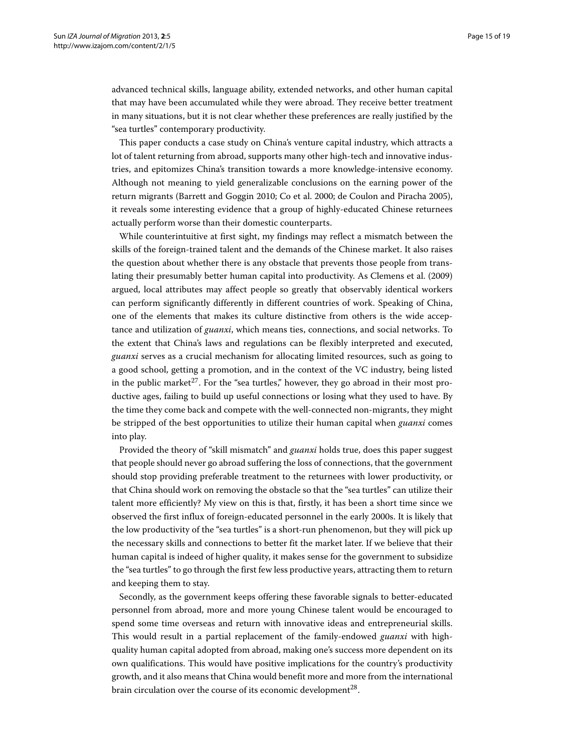advanced technical skills, language ability, extended networks, and other human capital that may have been accumulated while they were abroad. They receive better treatment in many situations, but it is not clear whether these preferences are really justified by the "sea turtles" contemporary productivity.

This paper conducts a case study on China's venture capital industry, which attracts a lot of talent returning from abroad, supports many other high-tech and innovative industries, and epitomizes China's transition towards a more knowledge-intensive economy. Although not meaning to yield generalizable conclusions on the earning power of the return migrants (Barrett and Goggin [2010;](#page-17-7) Co et al. [2000;](#page-17-8) de Coulon and Piracha [2005\)](#page-17-9), it reveals some interesting evidence that a group of highly-educated Chinese returnees actually perform worse than their domestic counterparts.

While counterintuitive at first sight, my findings may reflect a mismatch between the skills of the foreign-trained talent and the demands of the Chinese market. It also raises the question about whether there is any obstacle that prevents those people from translating their presumably better human capital into productivity. As [Clemens et al. \(2009\)](#page-17-13) argued, local attributes may affect people so greatly that observably identical workers can perform significantly differently in different countries of work. Speaking of China, one of the elements that makes its culture distinctive from others is the wide acceptance and utilization of *guanxi*, which means ties, connections, and social networks. To the extent that China's laws and regulations can be flexibly interpreted and executed, *guanxi* serves as a crucial mechanism for allocating limited resources, such as going to a good school, getting a promotion, and in the context of the VC industry, being listed in the public market<sup>27</sup>. For the "sea turtles," however, they go abroad in their most productive ages, failing to build up useful connections or losing what they used to have. By the time they come back and compete with the well-connected non-migrants, they might be stripped of the best opportunities to utilize their human capital when *guanxi* comes into play.

Provided the theory of "skill mismatch" and *guanxi* holds true, does this paper suggest that people should never go abroad suffering the loss of connections, that the government should stop providing preferable treatment to the returnees with lower productivity, or that China should work on removing the obstacle so that the "sea turtles" can utilize their talent more efficiently? My view on this is that, firstly, it has been a short time since we observed the first influx of foreign-educated personnel in the early 2000s. It is likely that the low productivity of the "sea turtles" is a short-run phenomenon, but they will pick up the necessary skills and connections to better fit the market later. If we believe that their human capital is indeed of higher quality, it makes sense for the government to subsidize the "sea turtles" to go through the first few less productive years, attracting them to return and keeping them to stay.

Secondly, as the government keeps offering these favorable signals to better-educated personnel from abroad, more and more young Chinese talent would be encouraged to spend some time overseas and return with innovative ideas and entrepreneurial skills. This would result in a partial replacement of the family-endowed *guanxi* with highquality human capital adopted from abroad, making one's success more dependent on its own qualifications. This would have positive implications for the country's productivity growth, and it also means that China would benefit more and more from the international brain circulation over the course of its economic development<sup>28</sup>.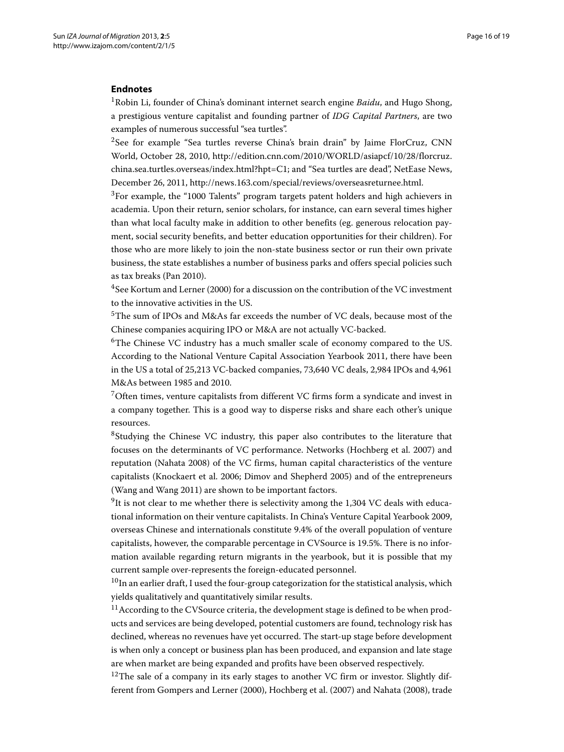#### **Endnotes**

1Robin Li, founder of China's dominant internet search engine *Baidu*, and Hugo Shong, a prestigious venture capitalist and founding partner of *IDG Capital Partners*, are two examples of numerous successful "sea turtles".

<sup>2</sup>See for example "Sea turtles reverse China's brain drain" by Jaime FlorCruz, CNN World, October 28, 2010, [http://edition.cnn.com/2010/WORLD/asiapcf/10/28/florcruz.](http://edition.cnn.com/2010/WORLD/asiapcf/10/28/florcruz.china.sea.turtles.overseas/index.html?hpt=C1) [china.sea.turtles.overseas/index.html?hpt=C1;](http://edition.cnn.com/2010/WORLD/asiapcf/10/28/florcruz.china.sea.turtles.overseas/index.html?hpt=C1) and "Sea turtles are dead", NetEase News, December 26, 2011, [http://news.163.com/special/reviews/overseasreturnee.html.](http://news.163.com/special/reviews/overseasreturnee.html)

<sup>3</sup>For example, the "1000 Talents" program targets patent holders and high achievers in academia. Upon their return, senior scholars, for instance, can earn several times higher than what local faculty make in addition to other benefits (eg. generous relocation payment, social security benefits, and better education opportunities for their children). For those who are more likely to join the non-state business sector or run their own private business, the state establishes a number of business parks and offers special policies such as tax breaks (Pan [2010\)](#page-18-12).

<sup>4</sup>See [Kortum and Lerner \(2000\)](#page-18-13) for a discussion on the contribution of the VC investment to the innovative activities in the US.

5The sum of IPOs and M&As far exceeds the number of VC deals, because most of the Chinese companies acquiring IPO or M&A are not actually VC-backed.

6The Chinese VC industry has a much smaller scale of economy compared to the US. According to the National Venture Capital Association Yearbook 2011, there have been in the US a total of 25,213 VC-backed companies, 73,640 VC deals, 2,984 IPOs and 4,961 M&As between 1985 and 2010.

<sup>7</sup>Often times, venture capitalists from different VC firms form a syndicate and invest in a company together. This is a good way to disperse risks and share each other's unique resources.

<sup>8</sup>Studying the Chinese VC industry, this paper also contributes to the literature that focuses on the determinants of VC performance. Networks (Hochberg et al. [2007\)](#page-18-14) and reputation (Nahata [2008\)](#page-18-15) of the VC firms, human capital characteristics of the venture capitalists (Knockaert et al. [2006;](#page-18-16) Dimov and Shepherd [2005\)](#page-17-14) and of the entrepreneurs (Wang and Wang [2011\)](#page-18-9) are shown to be important factors.

 $9$ It is not clear to me whether there is selectivity among the 1,304 VC deals with educational information on their venture capitalists. In China's Venture Capital Yearbook 2009, overseas Chinese and internationals constitute 9.4% of the overall population of venture capitalists, however, the comparable percentage in CVSource is 19.5%. There is no information available regarding return migrants in the yearbook, but it is possible that my current sample over-represents the foreign-educated personnel.

 $10$ In an earlier draft, I used the four-group categorization for the statistical analysis, which yields qualitatively and quantitatively similar results.

 $11$  According to the CVSource criteria, the development stage is defined to be when products and services are being developed, potential customers are found, technology risk has declined, whereas no revenues have yet occurred. The start-up stage before development is when only a concept or business plan has been produced, and expansion and late stage are when market are being expanded and profits have been observed respectively.

 $12$ The sale of a company in its early stages to another VC firm or investor. Slightly different from [Gompers and Lerner \(2000\)](#page-18-17), [Hochberg et al. \(2007\)](#page-18-14) and [Nahata \(2008\)](#page-18-15), trade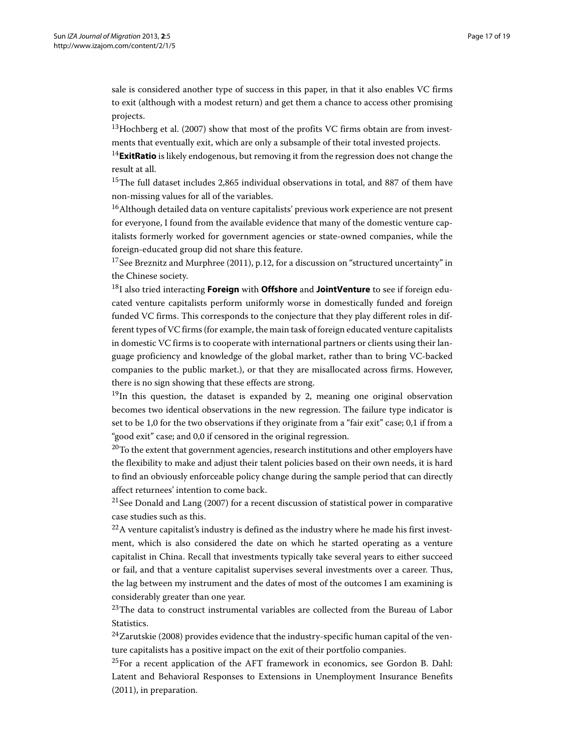sale is considered another type of success in this paper, in that it also enables VC firms to exit (although with a modest return) and get them a chance to access other promising projects.

 $13$ Hochberg et al. (2007) show that most of the profits VC firms obtain are from investments that eventually exit, which are only a subsample of their total invested projects.

<sup>14</sup>**ExitRatio** is likely endogenous, but removing it from the regression does not change the result at all.

<sup>15</sup>The full dataset includes 2,865 individual observations in total, and 887 of them have non-missing values for all of the variables.

<sup>16</sup> Although detailed data on venture capitalists' previous work experience are not present for everyone, I found from the available evidence that many of the domestic venture capitalists formerly worked for government agencies or state-owned companies, while the foreign-educated group did not share this feature.

<sup>17</sup>See [Breznitz and Murphree \(2011\)](#page-17-15), p.12, for a discussion on "structured uncertainty" in the Chinese society.

18I also tried interacting **Foreign** with **Offshore** and **JointVenture** to see if foreign educated venture capitalists perform uniformly worse in domestically funded and foreign funded VC firms. This corresponds to the conjecture that they play different roles in different types of VC firms (for example, the main task of foreign educated venture capitalists in domestic VC firms is to cooperate with international partners or clients using their language proficiency and knowledge of the global market, rather than to bring VC-backed companies to the public market.), or that they are misallocated across firms. However, there is no sign showing that these effects are strong.

 $19$ In this question, the dataset is expanded by 2, meaning one original observation becomes two identical observations in the new regression. The failure type indicator is set to be 1,0 for the two observations if they originate from a "fair exit" case; 0,1 if from a "good exit" case; and 0,0 if censored in the original regression.

 $20$ To the extent that government agencies, research institutions and other employers have the flexibility to make and adjust their talent policies based on their own needs, it is hard to find an obviously enforceable policy change during the sample period that can directly affect returnees' intention to come back.

 $21$ See [Donald and Lang \(2007\)](#page-17-16) for a recent discussion of statistical power in comparative case studies such as this.

 $^{22}$ A venture capitalist's industry is defined as the industry where he made his first investment, which is also considered the date on which he started operating as a venture capitalist in China. Recall that investments typically take several years to either succeed or fail, and that a venture capitalist supervises several investments over a career. Thus, the lag between my instrument and the dates of most of the outcomes I am examining is considerably greater than one year.

 $23$ The data to construct instrumental variables are collected from the Bureau of Labor Statistics.

 $24$ Zarutskie (2008) provides evidence that the industry-specific human capital of the venture capitalists has a positive impact on the exit of their portfolio companies.

 $25$  For a recent application of the AFT framework in economics, see Gordon B. Dahl: Latent and Behavioral Responses to Extensions in Unemployment Insurance Benefits (2011), in preparation.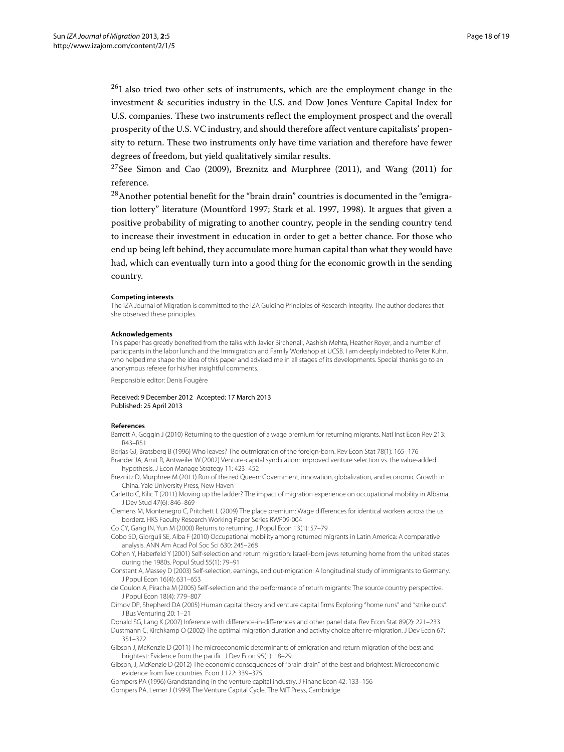$^{26}$ I also tried two other sets of instruments, which are the employment change in the investment & securities industry in the U.S. and Dow Jones Venture Capital Index for U.S. companies. These two instruments reflect the employment prospect and the overall prosperity of the U.S. VC industry, and should therefore affect venture capitalists' propensity to return. These two instruments only have time variation and therefore have fewer degrees of freedom, but yield qualitatively similar results.

 $27$ See [Simon and Cao \(2009\)](#page-18-19), [Breznitz and Murphree \(2011\)](#page-17-15), and [Wang \(2011\)](#page-18-20) for reference.

 $^{28}$ Another potential benefit for the "brain drain" countries is documented in the "emigration lottery" literature (Mountford [1997;](#page-18-21) Stark et al. [1997,](#page-18-22) [1998\)](#page-18-23). It argues that given a positive probability of migrating to another country, people in the sending country tend to increase their investment in education in order to get a better chance. For those who end up being left behind, they accumulate more human capital than what they would have had, which can eventually turn into a good thing for the economic growth in the sending country.

#### **Competing interests**

The IZA Journal of Migration is committed to the IZA Guiding Principles of Research Integrity. The author declares that she observed these principles.

#### **Acknowledgements**

This paper has greatly benefited from the talks with Javier Birchenall, Aashish Mehta, Heather Royer, and a number of participants in the labor lunch and the Immigration and Family Workshop at UCSB. I am deeply indebted to Peter Kuhn, who helped me shape the idea of this paper and advised me in all stages of its developments. Special thanks go to an anonymous referee for his/her insightful comments.

Responsible editor: Denis Fougère

#### Received: 9 December 2012 Accepted: 17 March 2013 Published: 25 April 2013

#### **References**

- <span id="page-17-7"></span>Barrett A, Goggin J (2010) Returning to the question of a wage premium for returning migrants. Natl Inst Econ Rev 213: R43–R51
- <span id="page-17-1"></span>Borjas GJ, Bratsberg B (1996) Who leaves? The outmigration of the foreign-born. Rev Econ Stat 78(1): 165–176
- <span id="page-17-10"></span>Brander JA, Amit R, Antweiler W (2002) Venture-capital syndication: Improved venture selection vs. the value-added hypothesis. J Econ Manage Strategy 11: 423–452
- <span id="page-17-15"></span>Breznitz D, Murphree M (2011) Run of the red Queen: Government, innovation, globalization, and economic Growth in China. Yale University Press, New Haven
- <span id="page-17-5"></span>Carletto C, Kilic T (2011) Moving up the ladder? The impact of migration experience on occupational mobility in Albania. J Dev Stud 47(6): 846–869
- <span id="page-17-13"></span>Clemens M, Montenegro C, Pritchett L (2009) The place premium: Wage differences for identical workers across the us borderz. HKS Faculty Research Working Paper Series RWP09-004

<span id="page-17-8"></span>Co CY, Gang IN, Yun M (2000) Returns to returning. J Popul Econ 13(1): 57–79

- <span id="page-17-6"></span>Cobo SD, Giorguli SE, Alba F (2010) Occupational mobility among returned migrants in Latin America: A comparative analysis. ANN Am Acad Pol Soc Sci 630: 245–268
- <span id="page-17-2"></span>Cohen Y, Haberfeld Y (2001) Self-selection and return migration: Israeli-born jews returning home from the united states during the 1980s. Popul Stud 55(1): 79–91
- <span id="page-17-3"></span>Constant A, Massey D (2003) Self-selection, earnings, and out-migration: A longitudinal study of immigrants to Germany. J Popul Econ 16(4): 631–653
- <span id="page-17-9"></span>de Coulon A, Piracha M (2005) Self-selection and the performance of return migrants: The source country perspective. J Popul Econ 18(4): 779–807
- <span id="page-17-14"></span>Dimov DP, Shepherd DA (2005) Human capital theory and venture capital firms Exploring "home runs" and "strike outs". J Bus Venturing 20: 1–21
- <span id="page-17-16"></span>Donald SG, Lang K (2007) Inference with difference-in-differences and other panel data. Rev Econ Stat 89(2): 221–233
- <span id="page-17-4"></span>Dustmann C, Kirchkamp O (2002) The optimal migration duration and activity choice after re-migration. J Dev Econ 67: 351–372
- Gibson J, McKenzie D (2011) The microeconomic determinants of emigration and return migration of the best and brightest: Evidence from the pacific. J Dev Econ 95(1): 18–29
- <span id="page-17-0"></span>Gibson, J, McKenzie D (2012) The economic consequences of "brain drain" of the best and brightest: Microeconomic evidence from five countries. Econ J 122: 339–375

<span id="page-17-12"></span><span id="page-17-11"></span>Gompers PA (1996) Grandstanding in the venture capital industry. J Financ Econ 42: 133–156 Gompers PA, Lerner J (1999) The Venture Capital Cycle. The MIT Press, Cambridge